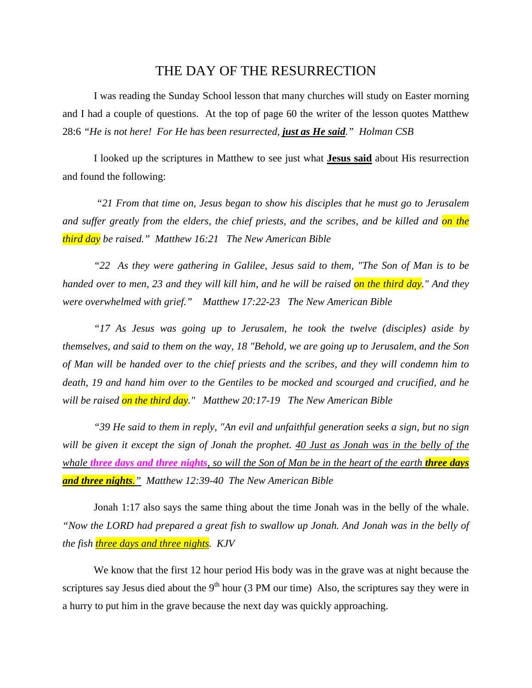## THE DAY OF THE RESURRECTION

I was reading the Sunday School lesson that many churches will study on Easter morning and I had a couple of questions. At the top of page 60 the writer of the lesson quotes Matthew 28:6 *"He is not here! For He has been resurrected, just as He said." Holman CSB*

I looked up the scriptures in Matthew to see just what **Jesus said** about His resurrection and found the following:

 *"21 From that time on, Jesus began to show his disciples that he must go to Jerusalem and suffer greatly from the elders, the chief priests, and the scribes, and be killed and on the third day be raised." Matthew 16:21 The New American Bible* 

*"22 As they were gathering in Galilee, Jesus said to them, "The Son of Man is to be handed over to men, 23 and they will kill him, and he will be raised on the third day." And they were overwhelmed with grief." Matthew 17:22-23 The New American Bible* 

*"17 As Jesus was going up to Jerusalem, he took the twelve (disciples) aside by themselves, and said to them on the way, 18 "Behold, we are going up to Jerusalem, and the Son of Man will be handed over to the chief priests and the scribes, and they will condemn him to death, 19 and hand him over to the Gentiles to be mocked and scourged and crucified, and he will be raised on the third day." Matthew 20:17-19 The New American Bible* 

*"39 He said to them in reply, "An evil and unfaithful generation seeks a sign, but no sign will be given it except the sign of Jonah the prophet. 40 Just as Jonah was in the belly of the whale three days and three nights, so will the Son of Man be in the heart of the earth <i>three days and three nights." Matthew 12:39-40 The New American Bible* 

Jonah 1:17 also says the same thing about the time Jonah was in the belly of the whale. *"Now the LORD had prepared a great fish to swallow up Jonah. And Jonah was in the belly of the fish three days and three nights. KJV* 

We know that the first 12 hour period His body was in the grave was at night because the scriptures say Jesus died about the  $9<sup>th</sup>$  hour (3 PM our time) Also, the scriptures say they were in a hurry to put him in the grave because the next day was quickly approaching.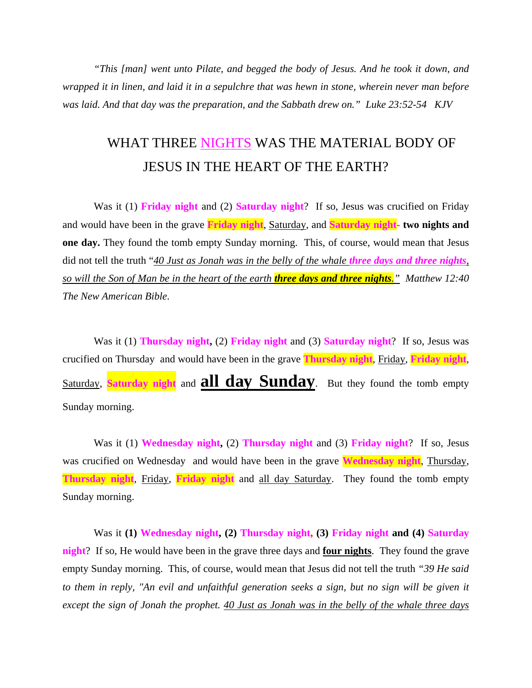*"This [man] went unto Pilate, and begged the body of Jesus. And he took it down, and wrapped it in linen, and laid it in a sepulchre that was hewn in stone, wherein never man before was laid. And that day was the preparation, and the Sabbath drew on." Luke 23:52-54 KJV* 

## WHAT THREE NIGHTS WAS THE MATERIAL BODY OF JESUS IN THE HEART OF THE EARTH?

Was it (1) **Friday night** and (2) **Saturday night**? If so, Jesus was crucified on Friday and would have been in the grave **Friday night**, Saturday, and **Saturday night- two nights and one day.** They found the tomb empty Sunday morning. This, of course, would mean that Jesus did not tell the truth "*40 Just as Jonah was in the belly of the whale three days and three nights, so will the Son of Man be in the heart of the earth three days and three nights." Matthew 12:40 The New American Bible*.

Was it (1) **Thursday night,** (2) **Friday night** and (3) **Saturday night**? If so, Jesus was crucified on Thursday and would have been in the grave **Thursday night**, Friday, **Friday night**, Saturday, **Saturday night** and **all day Sunday**. But they found the tomb empty Sunday morning.

Was it (1) **Wednesday night,** (2) **Thursday night** and (3) **Friday night**? If so, Jesus was crucified on Wednesday and would have been in the grave **Wednesday night**, Thursday, **Thursday night**, Friday, **Friday night** and all day Saturday. They found the tomb empty Sunday morning.

Was it **(1) Wednesday night, (2) Thursday night, (3) Friday night and (4) Saturday night**? If so, He would have been in the grave three days and **four nights**. They found the grave empty Sunday morning. This, of course, would mean that Jesus did not tell the truth *"39 He said to them in reply, "An evil and unfaithful generation seeks a sign, but no sign will be given it except the sign of Jonah the prophet. 40 Just as Jonah was in the belly of the whale three days*